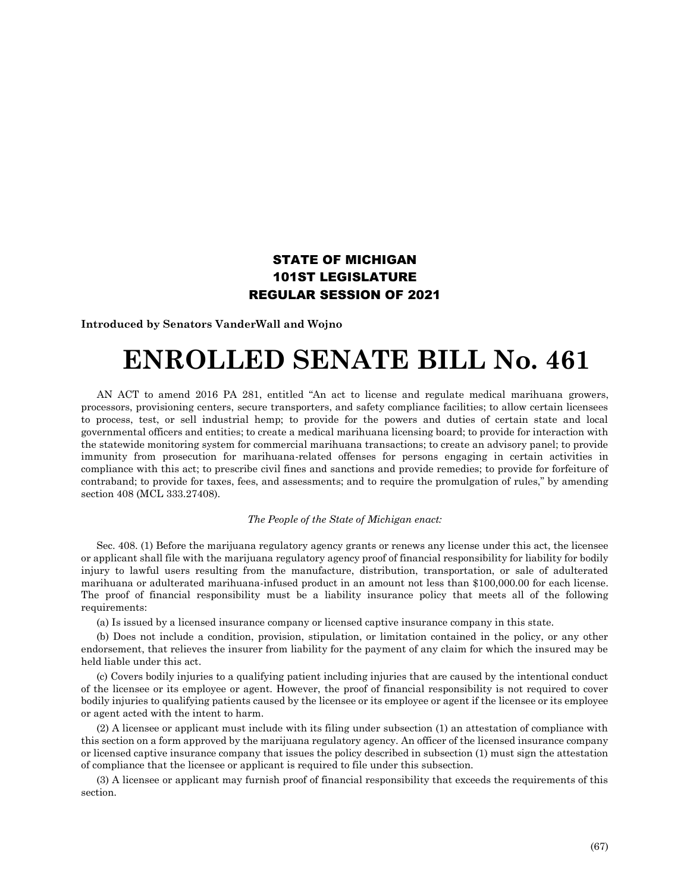## STATE OF MICHIGAN 101ST LEGISLATURE REGULAR SESSION OF 2021

**Introduced by Senators VanderWall and Wojno**

## **ENROLLED SENATE BILL No. 461**

AN ACT to amend 2016 PA 281, entitled "An act to license and regulate medical marihuana growers, processors, provisioning centers, secure transporters, and safety compliance facilities; to allow certain licensees to process, test, or sell industrial hemp; to provide for the powers and duties of certain state and local governmental officers and entities; to create a medical marihuana licensing board; to provide for interaction with the statewide monitoring system for commercial marihuana transactions; to create an advisory panel; to provide immunity from prosecution for marihuana-related offenses for persons engaging in certain activities in compliance with this act; to prescribe civil fines and sanctions and provide remedies; to provide for forfeiture of contraband; to provide for taxes, fees, and assessments; and to require the promulgation of rules," by amending section 408 (MCL 333.27408).

## *The People of the State of Michigan enact:*

Sec. 408. (1) Before the marijuana regulatory agency grants or renews any license under this act, the licensee or applicant shall file with the marijuana regulatory agency proof of financial responsibility for liability for bodily injury to lawful users resulting from the manufacture, distribution, transportation, or sale of adulterated marihuana or adulterated marihuana-infused product in an amount not less than \$100,000.00 for each license. The proof of financial responsibility must be a liability insurance policy that meets all of the following requirements:

(a) Is issued by a licensed insurance company or licensed captive insurance company in this state.

(b) Does not include a condition, provision, stipulation, or limitation contained in the policy, or any other endorsement, that relieves the insurer from liability for the payment of any claim for which the insured may be held liable under this act.

(c) Covers bodily injuries to a qualifying patient including injuries that are caused by the intentional conduct of the licensee or its employee or agent. However, the proof of financial responsibility is not required to cover bodily injuries to qualifying patients caused by the licensee or its employee or agent if the licensee or its employee or agent acted with the intent to harm.

(2) A licensee or applicant must include with its filing under subsection (1) an attestation of compliance with this section on a form approved by the marijuana regulatory agency. An officer of the licensed insurance company or licensed captive insurance company that issues the policy described in subsection (1) must sign the attestation of compliance that the licensee or applicant is required to file under this subsection.

(3) A licensee or applicant may furnish proof of financial responsibility that exceeds the requirements of this section.